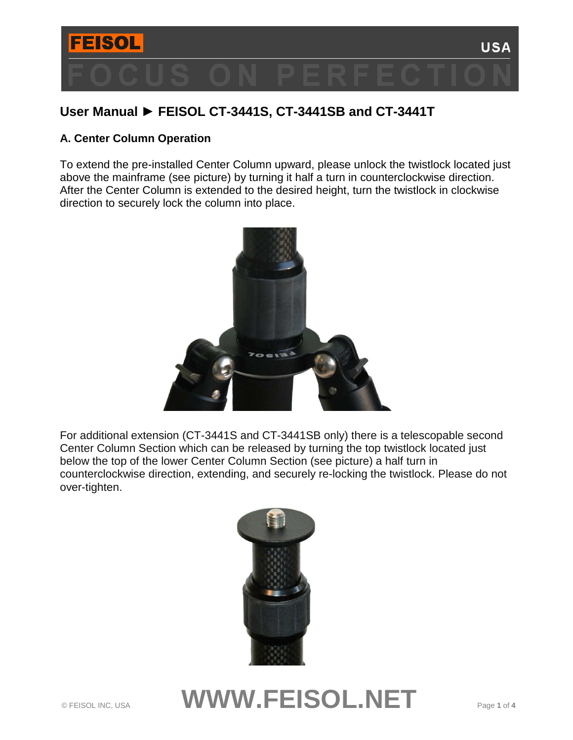

# **User Manual ► FEISOL CT-3441S, CT-3441SB and CT-3441T**

## **A. Center Column Operation**

To extend the pre-installed Center Column upward, please unlock the twistlock located just above the mainframe (see picture) by turning it half a turn in counterclockwise direction. After the Center Column is extended to the desired height, turn the twistlock in clockwise direction to securely lock the column into place.



For additional extension (CT-3441S and CT-3441SB only) there is a telescopable second Center Column Section which can be released by turning the top twistlock located just below the top of the lower Center Column Section (see picture) a half turn in counterclockwise direction, extending, and securely re-locking the twistlock. Please do not over-tighten.



# © FEISOL INC, USA **WWW.FEISOL.NET** Page **1** of **<sup>4</sup>**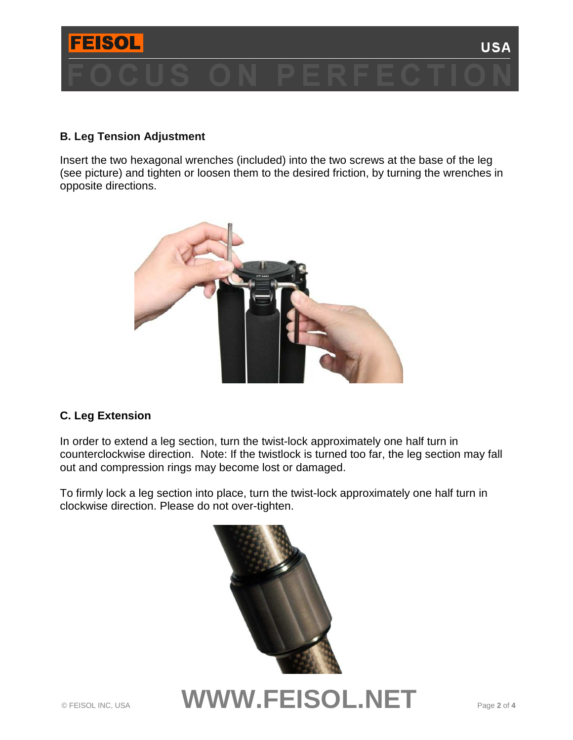

## **B. Leg Tension Adjustment**

Insert the two hexagonal wrenches (included) into the two screws at the base of the leg (see picture) and tighten or loosen them to the desired friction, by turning the wrenches in opposite directions.



## **C. Leg Extension**

In order to extend a leg section, turn the twist-lock approximately one half turn in counterclockwise direction. Note: If the twistlock is turned too far, the leg section may fall out and compression rings may become lost or damaged.

To firmly lock a leg section into place, turn the twist-lock approximately one half turn in clockwise direction. Please do not over-tighten.



© FEISOL INC, USA **WWW.FEISOL.NET** Page **2** of **<sup>4</sup>**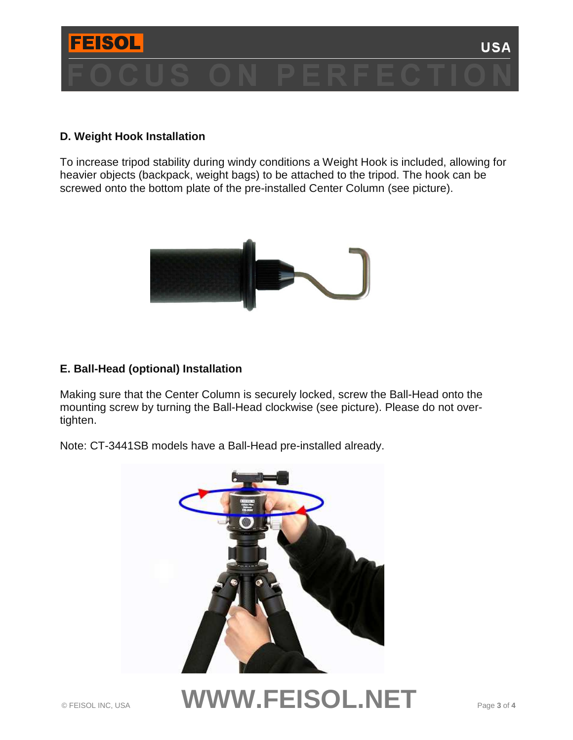

#### **D. Weight Hook Installation**

To increase tripod stability during windy conditions a Weight Hook is included, allowing for heavier objects (backpack, weight bags) to be attached to the tripod. The hook can be screwed onto the bottom plate of the pre-installed Center Column (see picture).



#### **E. Ball-Head (optional) Installation**

Making sure that the Center Column is securely locked, screw the Ball-Head onto the mounting screw by turning the Ball-Head clockwise (see picture). Please do not overtighten.

Note: CT-3441SB models have a Ball-Head pre-installed already.